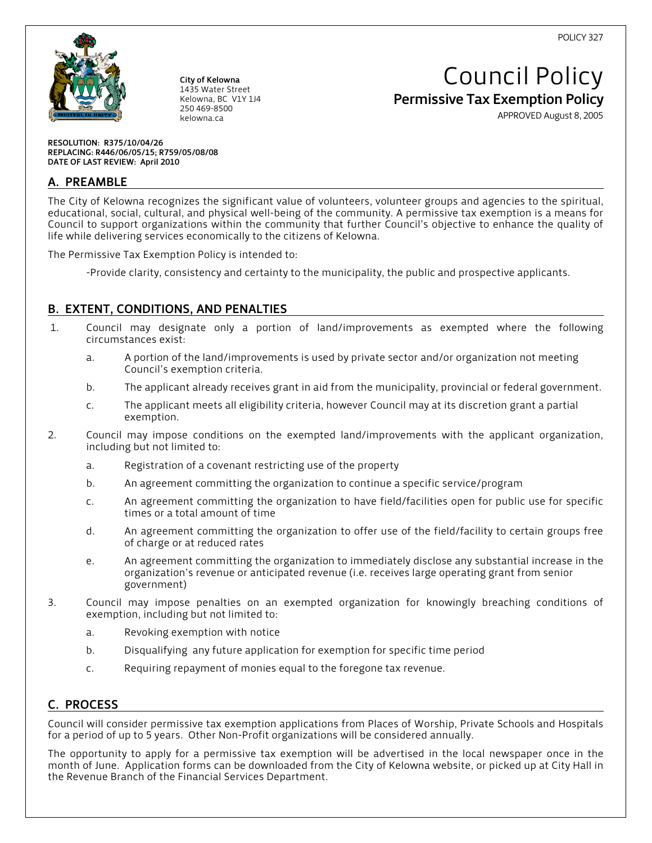POLICY 327



City of Kelowna 1435 Water Street Kelowna, BC V1Y 1J4 250 469-8500 kelowna.ca

# Council Policy Permissive Tax Exemption Policy

APPROVED August 8, 2005

RESOLUTION: R375/10/04/26 REPLACING: R446/06/05/15; R759/05/08/08 DATE OF LAST REVIEW: April 2010

# A. PREAMBLE

The City of Kelowna recognizes the significant value of volunteers, volunteer groups and agencies to the spiritual, educational, social, cultural, and physical well-being of the community. A permissive tax exemption is a means for Council to support organizations within the community that further Council's objective to enhance the quality of life while delivering services economically to the citizens of Kelowna.

The Permissive Tax Exemption Policy is intended to:

-Provide clarity, consistency and certainty to the municipality, the public and prospective applicants.

# B. EXTENT, CONDITIONS, AND PENALTIES

- 1. Council may designate only a portion of land/improvements as exempted where the following circumstances exist:
	- a. A portion of the land/improvements is used by private sector and/or organization not meeting Council's exemption criteria.
	- b. The applicant already receives grant in aid from the municipality, provincial or federal government.
	- c. The applicant meets all eligibility criteria, however Council may at its discretion grant a partial exemption.
- 2. Council may impose conditions on the exempted land/improvements with the applicant organization, including but not limited to:
	- a. Registration of a covenant restricting use of the property
	- b. An agreement committing the organization to continue a specific service/program
	- c. An agreement committing the organization to have field/facilities open for public use for specific times or a total amount of time
	- d. An agreement committing the organization to offer use of the field/facility to certain groups free of charge or at reduced rates
	- e. An agreement committing the organization to immediately disclose any substantial increase in the organization's revenue or anticipated revenue (i.e. receives large operating grant from senior government)
- 3. Council may impose penalties on an exempted organization for knowingly breaching conditions of exemption, including but not limited to:
	- a. Revoking exemption with notice
	- b. Disqualifying any future application for exemption for specific time period
	- c. Requiring repayment of monies equal to the foregone tax revenue.

# C. PROCESS

Council will consider permissive tax exemption applications from Places of Worship, Private Schools and Hospitals for a period of up to 5 years. Other Non-Profit organizations will be considered annually.

The opportunity to apply for a permissive tax exemption will be advertised in the local newspaper once in the month of June. Application forms can be downloaded from the City of Kelowna website, or picked up at City Hall in the Revenue Branch of the Financial Services Department.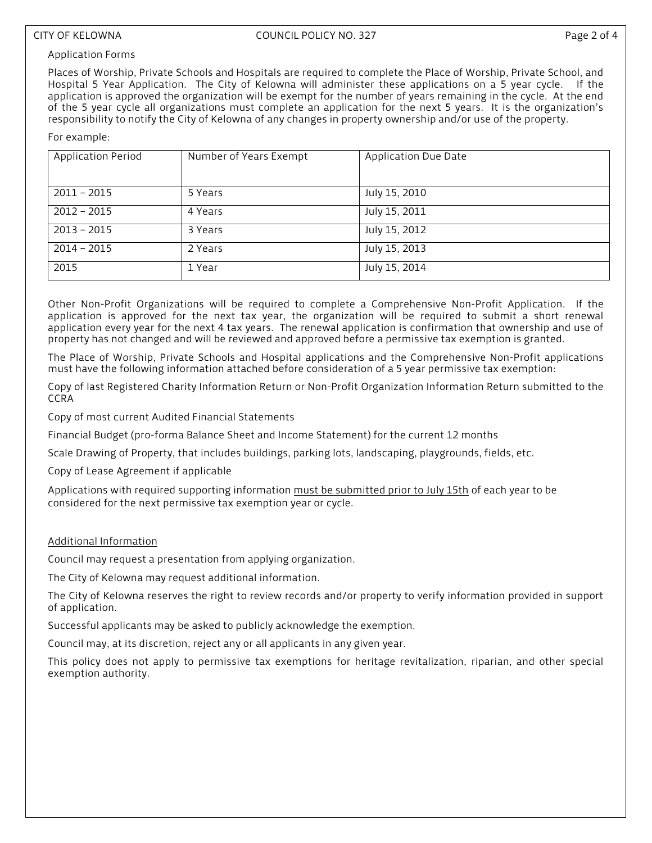#### Application Forms

Places of Worship, Private Schools and Hospitals are required to complete the Place of Worship, Private School, and Hospital 5 Year Application. The City of Kelowna will administer these applications on a 5 year cycle. If the application is approved the organization will be exempt for the number of years remaining in the cycle. At the end of the 5 year cycle all organizations must complete an application for the next 5 years. It is the organization's responsibility to notify the City of Kelowna of any changes in property ownership and/or use of the property.

#### For example:

| Application Period | Number of Years Exempt | Application Due Date |
|--------------------|------------------------|----------------------|
| $2011 - 2015$      | 5 Years                | July 15, 2010        |
| $2012 - 2015$      | 4 Years                | July 15, 2011        |
| $2013 - 2015$      | 3 Years                | July 15, 2012        |
| $2014 - 2015$      | 2 Years                | July 15, 2013        |
| 2015               | 1 Year                 | July 15, 2014        |

Other Non-Profit Organizations will be required to complete a Comprehensive Non-Profit Application. If the application is approved for the next tax year, the organization will be required to submit a short renewal application every year for the next 4 tax years. The renewal application is confirmation that ownership and use of property has not changed and will be reviewed and approved before a permissive tax exemption is granted.

The Place of Worship, Private Schools and Hospital applications and the Comprehensive Non-Profit applications must have the following information attached before consideration of a 5 year permissive tax exemption:

Copy of last Registered Charity Information Return or Non-Profit Organization Information Return submitted to the CCRA

Copy of most current Audited Financial Statements

Financial Budget (pro-forma Balance Sheet and Income Statement) for the current 12 months

Scale Drawing of Property, that includes buildings, parking lots, landscaping, playgrounds, fields, etc.

Copy of Lease Agreement if applicable

Applications with required supporting information must be submitted prior to July 15th of each year to be considered for the next permissive tax exemption year or cycle.

### Additional Information

Council may request a presentation from applying organization.

The City of Kelowna may request additional information.

The City of Kelowna reserves the right to review records and/or property to verify information provided in support of application.

Successful applicants may be asked to publicly acknowledge the exemption.

Council may, at its discretion, reject any or all applicants in any given year.

This policy does not apply to permissive tax exemptions for heritage revitalization, riparian, and other special exemption authority.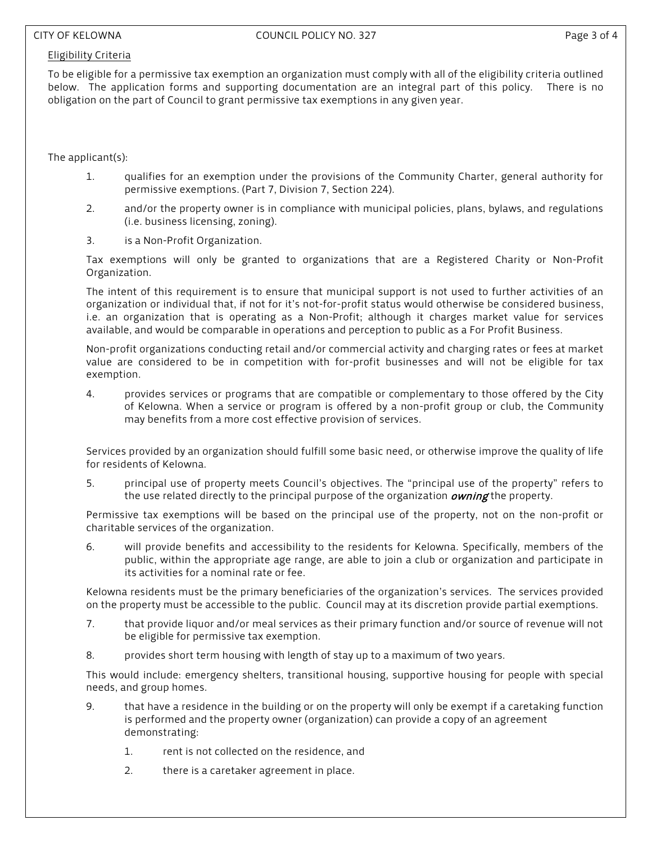#### Eligibility Criteria

To be eligible for a permissive tax exemption an organization must comply with all of the eligibility criteria outlined below. The application forms and supporting documentation are an integral part of this policy. There is no obligation on the part of Council to grant permissive tax exemptions in any given year.

The applicant(s):

- 1. qualifies for an exemption under the provisions of the Community Charter, general authority for permissive exemptions. (Part 7, Division 7, Section 224).
- 2. and/or the property owner is in compliance with municipal policies, plans, bylaws, and regulations (i.e. business licensing, zoning).
- 3. is a Non-Profit Organization.

Tax exemptions will only be granted to organizations that are a Registered Charity or Non-Profit Organization.

The intent of this requirement is to ensure that municipal support is not used to further activities of an organization or individual that, if not for it's not-for-profit status would otherwise be considered business, i.e. an organization that is operating as a Non-Profit; although it charges market value for services available, and would be comparable in operations and perception to public as a For Profit Business.

Non-profit organizations conducting retail and/or commercial activity and charging rates or fees at market value are considered to be in competition with for-profit businesses and will not be eligible for tax exemption.

4. provides services or programs that are compatible or complementary to those offered by the City of Kelowna. When a service or program is offered by a non-profit group or club, the Community may benefits from a more cost effective provision of services.

Services provided by an organization should fulfill some basic need, or otherwise improve the quality of life for residents of Kelowna.

5. principal use of property meets Council's objectives. The "principal use of the property" refers to the use related directly to the principal purpose of the organization *owning* the property.

Permissive tax exemptions will be based on the principal use of the property, not on the non-profit or charitable services of the organization.

6. will provide benefits and accessibility to the residents for Kelowna. Specifically, members of the public, within the appropriate age range, are able to join a club or organization and participate in its activities for a nominal rate or fee.

Kelowna residents must be the primary beneficiaries of the organization's services. The services provided on the property must be accessible to the public. Council may at its discretion provide partial exemptions.

- 7. that provide liquor and/or meal services as their primary function and/or source of revenue will not be eligible for permissive tax exemption.
- 8. provides short term housing with length of stay up to a maximum of two years.

This would include: emergency shelters, transitional housing, supportive housing for people with special needs, and group homes.

- 9. that have a residence in the building or on the property will only be exempt if a caretaking function is performed and the property owner (organization) can provide a copy of an agreement demonstrating:
	- 1. rent is not collected on the residence, and
	- 2. there is a caretaker agreement in place.